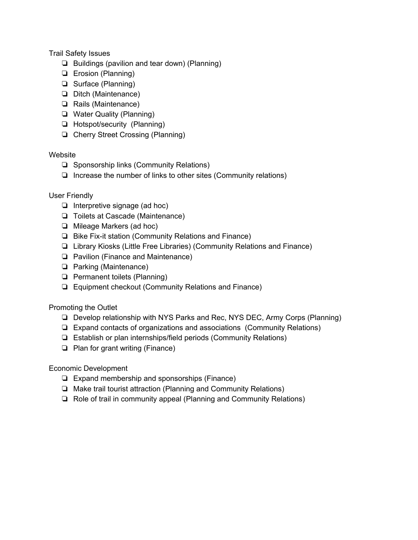Trail Safety Issues

- ❏ Buildings (pavilion and tear down) (Planning)
- ❏ Erosion (Planning)
- ❏ Surface (Planning)
- ❏ Ditch (Maintenance)
- ❏ Rails (Maintenance)
- ❏ Water Quality (Planning)
- ❏ Hotspot/security (Planning)
- ❏ Cherry Street Crossing (Planning)

## Website

- ❏ Sponsorship links (Community Relations)
- ❏ Increase the number of links to other sites (Community relations)

## User Friendly

- ❏ Interpretive signage (ad hoc)
- ❏ Toilets at Cascade (Maintenance)
- ❏ Mileage Markers (ad hoc)
- ❏ Bike Fix-it station (Community Relations and Finance)
- ❏ Library Kiosks (Little Free Libraries) (Community Relations and Finance)
- ❏ Pavilion (Finance and Maintenance)
- ❏ Parking (Maintenance)
- ❏ Permanent toilets (Planning)
- ❏ Equipment checkout (Community Relations and Finance)

## Promoting the Outlet

- ❏ Develop relationship with NYS Parks and Rec, NYS DEC, Army Corps (Planning)
- ❏ Expand contacts of organizations and associations (Community Relations)
- ❏ Establish or plan internships/field periods (Community Relations)
- ❏ Plan for grant writing (Finance)

## Economic Development

- ❏ Expand membership and sponsorships (Finance)
- ❏ Make trail tourist attraction (Planning and Community Relations)
- ❏ Role of trail in community appeal (Planning and Community Relations)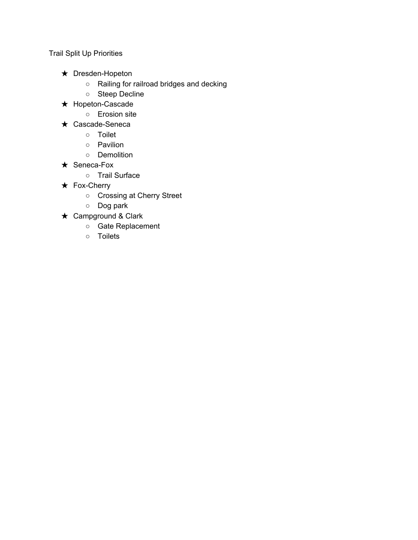Trail Split Up Priorities

- ★ Dresden-Hopeton
	- Railing for railroad bridges and decking
	- Steep Decline
- ★ Hopeton-Cascade
	- Erosion site
- ★ Cascade-Seneca
	- Toilet
	- Pavilion
	- Demolition
- ★ Seneca-Fox
	- Trail Surface
- ★ Fox-Cherry
	- Crossing at Cherry Street
	- Dog park
- ★ Campground & Clark
	- Gate Replacement
	- Toilets